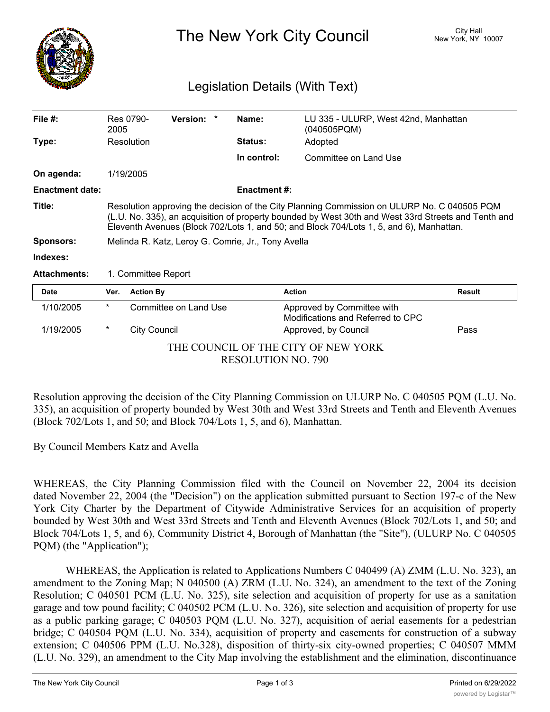

The New York City Council New York, NY 10007

## Legislation Details (With Text)

| File $#$ :                                                       | 2005                                                                                                                                                                                                                                                                                          | Res 0790-             | <b>Version:</b> |  | Name:               | LU 335 - ULURP, West 42nd, Manhattan<br>(040505PQM)             |               |
|------------------------------------------------------------------|-----------------------------------------------------------------------------------------------------------------------------------------------------------------------------------------------------------------------------------------------------------------------------------------------|-----------------------|-----------------|--|---------------------|-----------------------------------------------------------------|---------------|
| Type:                                                            |                                                                                                                                                                                                                                                                                               | Resolution            |                 |  | <b>Status:</b>      | Adopted                                                         |               |
|                                                                  |                                                                                                                                                                                                                                                                                               |                       |                 |  | In control:         | Committee on Land Use                                           |               |
| On agenda:                                                       |                                                                                                                                                                                                                                                                                               | 1/19/2005             |                 |  |                     |                                                                 |               |
| <b>Enactment date:</b>                                           |                                                                                                                                                                                                                                                                                               |                       |                 |  | <b>Enactment #:</b> |                                                                 |               |
| Title:                                                           | Resolution approving the decision of the City Planning Commission on ULURP No. C 040505 PQM<br>(L.U. No. 335), an acquisition of property bounded by West 30th and West 33rd Streets and Tenth and<br>Eleventh Avenues (Block 702/Lots 1, and 50; and Block 704/Lots 1, 5, and 6), Manhattan. |                       |                 |  |                     |                                                                 |               |
| <b>Sponsors:</b>                                                 | Melinda R. Katz, Leroy G. Comrie, Jr., Tony Avella                                                                                                                                                                                                                                            |                       |                 |  |                     |                                                                 |               |
| Indexes:                                                         |                                                                                                                                                                                                                                                                                               |                       |                 |  |                     |                                                                 |               |
| <b>Attachments:</b>                                              | 1. Committee Report                                                                                                                                                                                                                                                                           |                       |                 |  |                     |                                                                 |               |
| <b>Date</b>                                                      | Ver.                                                                                                                                                                                                                                                                                          | <b>Action By</b>      |                 |  |                     | <b>Action</b>                                                   | <b>Result</b> |
| 1/10/2005                                                        | $^\star$                                                                                                                                                                                                                                                                                      | Committee on Land Use |                 |  |                     | Approved by Committee with<br>Modifications and Referred to CPC |               |
| 1/19/2005                                                        | $^\ast$                                                                                                                                                                                                                                                                                       | <b>City Council</b>   |                 |  |                     | Approved, by Council                                            | Pass          |
| THE COUNCIL OF THE CITY OF NEW YORK<br><b>RESOLUTION NO. 790</b> |                                                                                                                                                                                                                                                                                               |                       |                 |  |                     |                                                                 |               |

Resolution approving the decision of the City Planning Commission on ULURP No. C 040505 PQM (L.U. No. 335), an acquisition of property bounded by West 30th and West 33rd Streets and Tenth and Eleventh Avenues (Block 702/Lots 1, and 50; and Block 704/Lots 1, 5, and 6), Manhattan.

By Council Members Katz and Avella

WHEREAS, the City Planning Commission filed with the Council on November 22, 2004 its decision dated November 22, 2004 (the "Decision") on the application submitted pursuant to Section 197-c of the New York City Charter by the Department of Citywide Administrative Services for an acquisition of property bounded by West 30th and West 33rd Streets and Tenth and Eleventh Avenues (Block 702/Lots 1, and 50; and Block 704/Lots 1, 5, and 6), Community District 4, Borough of Manhattan (the "Site"), (ULURP No. C 040505 PQM) (the "Application");

WHEREAS, the Application is related to Applications Numbers C 040499 (A) ZMM (L.U. No. 323), an amendment to the Zoning Map; N 040500 (A) ZRM (L.U. No. 324), an amendment to the text of the Zoning Resolution; C 040501 PCM (L.U. No. 325), site selection and acquisition of property for use as a sanitation garage and tow pound facility; C 040502 PCM (L.U. No. 326), site selection and acquisition of property for use as a public parking garage; C 040503 PQM (L.U. No. 327), acquisition of aerial easements for a pedestrian bridge; C 040504 PQM (L.U. No. 334), acquisition of property and easements for construction of a subway extension; C 040506 PPM (L.U. No.328), disposition of thirty-six city-owned properties; C 040507 MMM (L.U. No. 329), an amendment to the City Map involving the establishment and the elimination, discontinuance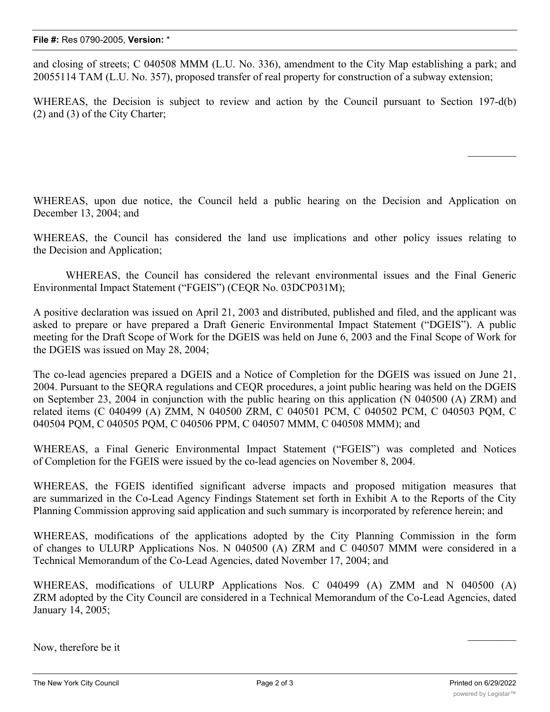and closing of streets; C 040508 MMM (L.U. No. 336), amendment to the City Map establishing a park; and 20055114 TAM (L.U. No. 357), proposed transfer of real property for construction of a subway extension;

WHEREAS, the Decision is subject to review and action by the Council pursuant to Section 197-d(b) (2) and (3) of the City Charter;

WHEREAS, upon due notice, the Council held a public hearing on the Decision and Application on December 13, 2004; and

WHEREAS, the Council has considered the land use implications and other policy issues relating to the Decision and Application;

WHEREAS, the Council has considered the relevant environmental issues and the Final Generic Environmental Impact Statement ("FGEIS") (CEQR No. 03DCP031M);

A positive declaration was issued on April 21, 2003 and distributed, published and filed, and the applicant was asked to prepare or have prepared a Draft Generic Environmental Impact Statement ("DGEIS"). A public meeting for the Draft Scope of Work for the DGEIS was held on June 6, 2003 and the Final Scope of Work for the DGEIS was issued on May 28, 2004;

The co-lead agencies prepared a DGEIS and a Notice of Completion for the DGEIS was issued on June 21, 2004. Pursuant to the SEQRA regulations and CEQR procedures, a joint public hearing was held on the DGEIS on September 23, 2004 in conjunction with the public hearing on this application (N 040500 (A) ZRM) and related items (C 040499 (A) ZMM, N 040500 ZRM, C 040501 PCM, C 040502 PCM, C 040503 PQM, C 040504 PQM, C 040505 PQM, C 040506 PPM, C 040507 MMM, C 040508 MMM); and

WHEREAS, a Final Generic Environmental Impact Statement ("FGEIS") was completed and Notices of Completion for the FGEIS were issued by the co-lead agencies on November 8, 2004.

WHEREAS, the FGEIS identified significant adverse impacts and proposed mitigation measures that are summarized in the Co-Lead Agency Findings Statement set forth in Exhibit A to the Reports of the City Planning Commission approving said application and such summary is incorporated by reference herein; and

WHEREAS, modifications of the applications adopted by the City Planning Commission in the form of changes to ULURP Applications Nos. N 040500 (A) ZRM and C 040507 MMM were considered in a Technical Memorandum of the Co-Lead Agencies, dated November 17, 2004; and

WHEREAS, modifications of ULURP Applications Nos. C 040499 (A) ZMM and N 040500 (A) ZRM adopted by the City Council are considered in a Technical Memorandum of the Co-Lead Agencies, dated January 14, 2005;

Now, therefore be it

 $\frac{1}{2}$